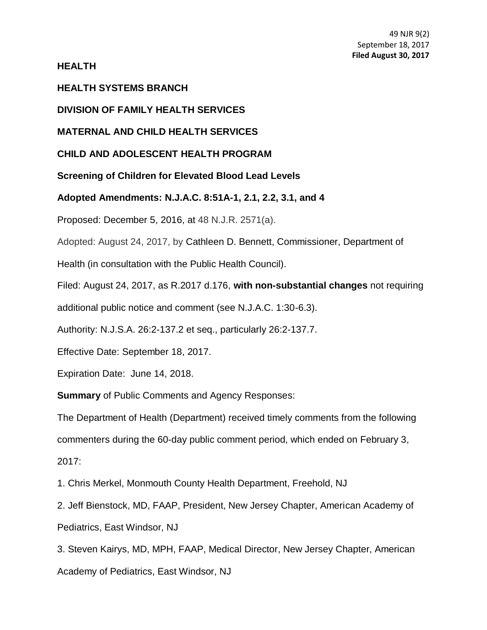**HEALTH**

### **HEALTH SYSTEMS BRANCH**

**DIVISION OF FAMILY HEALTH SERVICES**

**MATERNAL AND CHILD HEALTH SERVICES**

## **CHILD AND ADOLESCENT HEALTH PROGRAM**

**Screening of Children for Elevated Blood Lead Levels**

**Adopted Amendments: [N.J.A.C. 8:51A-](http://www.lexis.com/research/buttonTFLink?_m=c40a86fa64ea7c519c95069e484ae0e8&_xfercite=%3ccite%20cc%3d%22USA%22%3e%3c%21%5bCDATA%5b36%20N.J.R.%205068%28a%29%5d%5d%3e%3c%2fcite%3e&_butType=4&_butStat=0&_butNum=1&_butInline=1&_butinfo=NJ%20ADMIN%208%3a51A&_fmtstr=FULL&docnum=1&_startdoc=1&wchp=dGLbVzt-zSkAl&_md5=25b83310dc6216a729ffc0fadaee76c1)1, 2.1, 2.2, 3.1, and 4**

Proposed: December 5, 2016, at 48 N.J.R. 2571(a).

Adopted: August 24, 2017, by Cathleen D. Bennett, Commissioner, Department of

Health (in consultation with the Public Health Council).

Filed: August 24, 2017, as R.2017 d.176, **with non-substantial changes** not requiring

additional public notice and comment (see N.J.A.C. 1:30-6.3).

Authority: [N.J.S.A. 26:2-13](https://web.lexisnexis.com/research/buttonTFLink?_m=7f839a864e627bdeb65131183d99d57b&_xfercite=%3ccite%20cc%3d%22USA%22%3e%3c%21%5bCDATA%5b47%20N.J.R.%202063%28a%29%5d%5d%3e%3c%2fcite%3e&_butType=4&_butStat=0&_butNum=6&_butInline=1&_butinfo=NJCODE%2026%3a2H-1&_fmtstr=FULL&docnum=2&_startdoc=1&wchp=dGLbVzt-zSkAA&_md5=e719b5d7b084245c401e2da980a12163)7.2 et seq., particularly 26:2-137.7.

Effective Date: September 18, 2017.

Expiration Date: June 14, 2018.

**Summary** of Public Comments and Agency Responses:

The Department of Health (Department) received timely comments from the following commenters during the 60-day public comment period, which ended on February 3, 2017:

1. Chris Merkel, Monmouth County Health Department, Freehold, NJ

2. Jeff Bienstock, MD, FAAP, President, New Jersey Chapter, American Academy of Pediatrics, East Windsor, NJ

3. Steven Kairys, MD, MPH, FAAP, Medical Director, New Jersey Chapter, American Academy of Pediatrics, East Windsor, NJ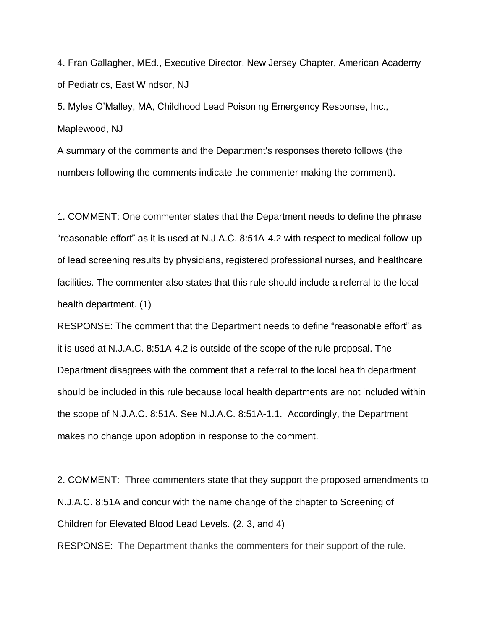4. Fran Gallagher, MEd., Executive Director, New Jersey Chapter, American Academy of Pediatrics, East Windsor, NJ

5. Myles O'Malley, MA, Childhood Lead Poisoning Emergency Response, Inc., Maplewood, NJ

A summary of the comments and the Department's responses thereto follows (the numbers following the comments indicate the commenter making the comment).

1. COMMENT: One commenter states that the Department needs to define the phrase "reasonable effort" as it is used at N.J.A.C. 8:51A-4.2 with respect to medical follow-up of lead screening results by physicians, registered professional nurses, and healthcare facilities. The commenter also states that this rule should include a referral to the local health department. (1)

RESPONSE: The comment that the Department needs to define "reasonable effort" as it is used at N.J.A.C. 8:51A-4.2 is outside of the scope of the rule proposal. The Department disagrees with the comment that a referral to the local health department should be included in this rule because local health departments are not included within the scope of N.J.A.C. 8:51A. See N.J.A.C. 8:51A-1.1. Accordingly, the Department makes no change upon adoption in response to the comment.

2. COMMENT: Three commenters state that they support the proposed amendments to N.J.A.C. 8:51A and concur with the name change of the chapter to Screening of Children for Elevated Blood Lead Levels. (2, 3, and 4)

RESPONSE: The Department thanks the commenters for their support of the rule.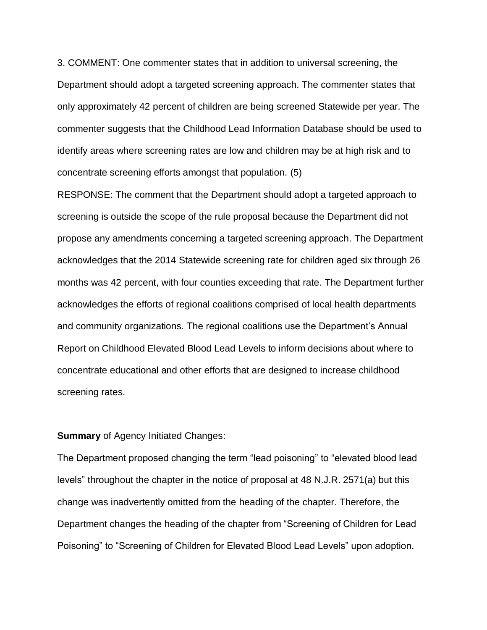3. COMMENT: One commenter states that in addition to universal screening, the Department should adopt a targeted screening approach. The commenter states that only approximately 42 percent of children are being screened Statewide per year. The commenter suggests that the Childhood Lead Information Database should be used to identify areas where screening rates are low and children may be at high risk and to concentrate screening efforts amongst that population. (5)

RESPONSE: The comment that the Department should adopt a targeted approach to screening is outside the scope of the rule proposal because the Department did not propose any amendments concerning a targeted screening approach. The Department acknowledges that the 2014 Statewide screening rate for children aged six through 26 months was 42 percent, with four counties exceeding that rate. The Department further acknowledges the efforts of regional coalitions comprised of local health departments and community organizations. The regional coalitions use the Department's Annual Report on Childhood Elevated Blood Lead Levels to inform decisions about where to concentrate educational and other efforts that are designed to increase childhood screening rates.

#### **Summary** of Agency Initiated Changes:

The Department proposed changing the term "lead poisoning" to "elevated blood lead levels" throughout the chapter in the notice of proposal at 48 N.J.R. 2571(a) but this change was inadvertently omitted from the heading of the chapter. Therefore, the Department changes the heading of the chapter from "Screening of Children for Lead Poisoning" to "Screening of Children for Elevated Blood Lead Levels" upon adoption.